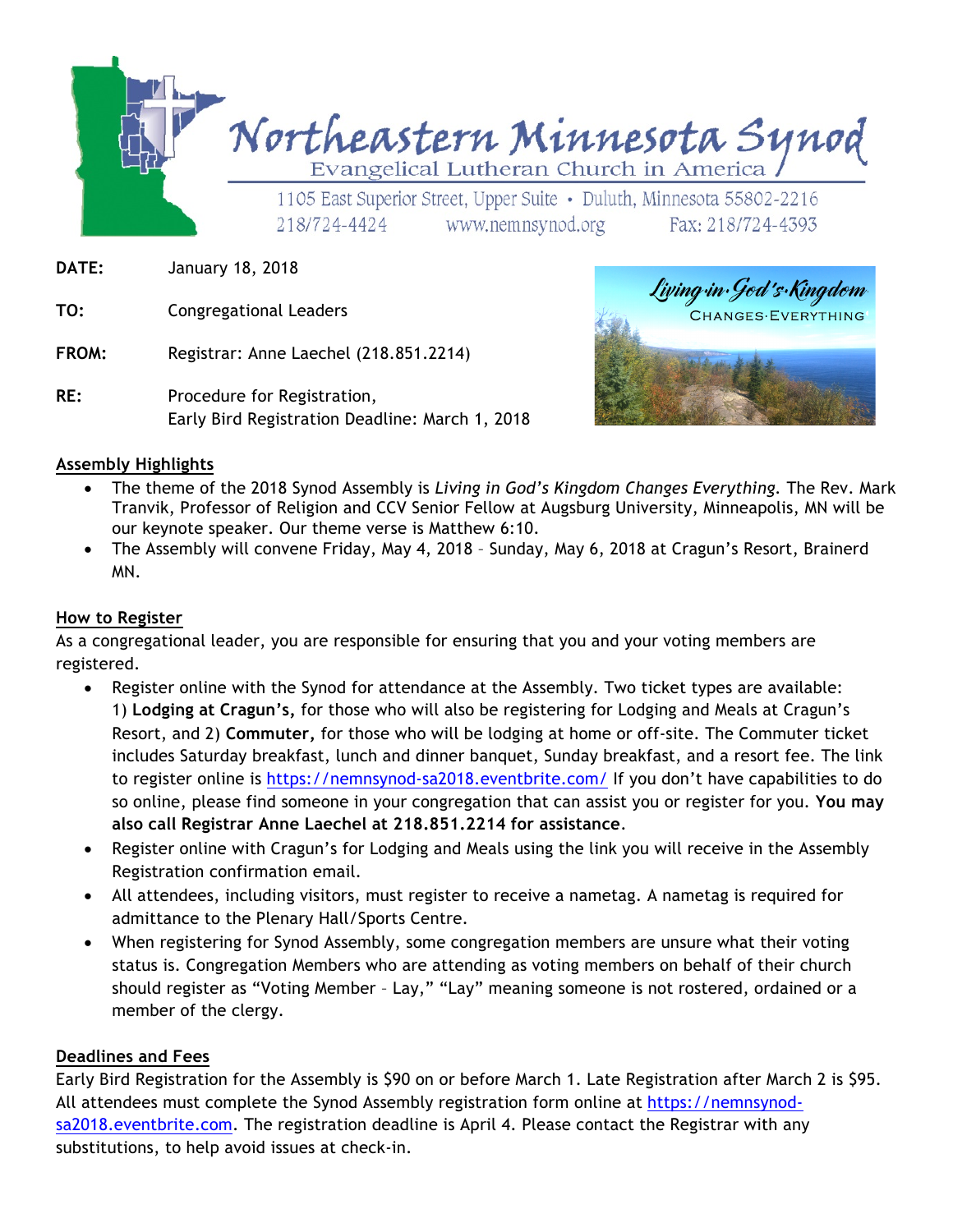

- **DATE:** January 18, 2018
- **TO:** Congregational Leaders
- **FROM:** Registrar: Anne Laechel (218.851.2214)
- RE: Procedure for Registration, Early Bird Registration Deadline: March 1, 2018



#### **Assembly Highlights**

- The theme of the 2018 Synod Assembly is *Living in God's Kingdom Changes Everything.* The Rev. Mark Tranvik, Professor of Religion and CCV Senior Fellow at Augsburg University, Minneapolis, MN will be our keynote speaker. Our theme verse is Matthew 6:10.
- The Assembly will convene Friday, May 4, 2018 Sunday, May 6, 2018 at Cragun's Resort, Brainerd MN.

#### **How to Register**

As a congregational leader, you are responsible for ensuring that you and your voting members are registered.

- Register online with the Synod for attendance at the Assembly. Two ticket types are available: 1) **Lodging at Cragun's,** for those who will also be registering for Lodging and Meals at Cragun's Resort, and 2) **Commuter,** for those who will be lodging at home or off-site. The Commuter ticket includes Saturday breakfast, lunch and dinner banquet, Sunday breakfast, and a resort fee. The link to register online is https://nemnsynod-sa2018.eventbrite.com/ If you don't have capabilities to do so online, please find someone in your congregation that can assist you or register for you. **You may also call Registrar Anne Laechel at 218.851.2214 for assistance**.
- Register online with Cragun's for Lodging and Meals using the link you will receive in the Assembly Registration confirmation email.
- All attendees, including visitors, must register to receive a nametag. A nametag is required for admittance to the Plenary Hall/Sports Centre.
- When registering for Synod Assembly, some congregation members are unsure what their voting status is. Congregation Members who are attending as voting members on behalf of their church should register as "Voting Member – Lay," "Lay" meaning someone is not rostered, ordained or a member of the clergy.

#### **Deadlines and Fees**

Early Bird Registration for the Assembly is \$90 on or before March 1. Late Registration after March 2 is \$95. All attendees must complete the Synod Assembly registration form online at https://nemnsynodsa2018.eventbrite.com. The registration deadline is April 4. Please contact the Registrar with any substitutions, to help avoid issues at check-in.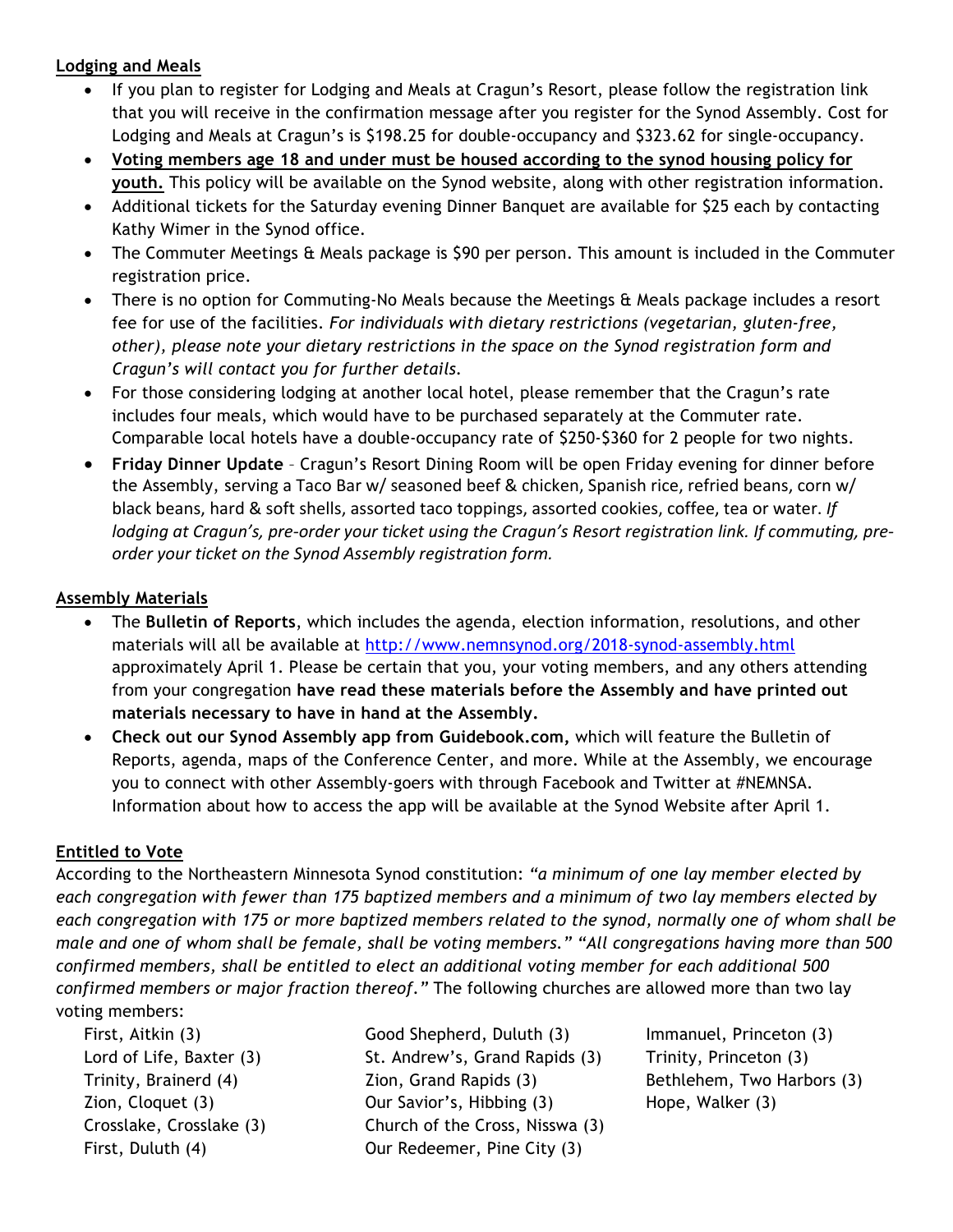#### **Lodging and Meals**

- If you plan to register for Lodging and Meals at Cragun's Resort, please follow the registration link that you will receive in the confirmation message after you register for the Synod Assembly. Cost for Lodging and Meals at Cragun's is \$198.25 for double-occupancy and \$323.62 for single-occupancy.
- **Voting members age 18 and under must be housed according to the synod housing policy for youth.** This policy will be available on the Synod website, along with other registration information.
- Additional tickets for the Saturday evening Dinner Banquet are available for \$25 each by contacting Kathy Wimer in the Synod office.
- The Commuter Meetings & Meals package is \$90 per person. This amount is included in the Commuter registration price.
- There is no option for Commuting-No Meals because the Meetings & Meals package includes a resort fee for use of the facilities. *For individuals with dietary restrictions (vegetarian, gluten-free, other), please note your dietary restrictions in the space on the Synod registration form and Cragun's will contact you for further details.*
- For those considering lodging at another local hotel, please remember that the Cragun's rate includes four meals, which would have to be purchased separately at the Commuter rate. Comparable local hotels have a double-occupancy rate of \$250-\$360 for 2 people for two nights.
- **Friday Dinner Update** Cragun's Resort Dining Room will be open Friday evening for dinner before the Assembly, serving a Taco Bar w/ seasoned beef & chicken, Spanish rice, refried beans, corn w/ black beans, hard & soft shells, assorted taco toppings, assorted cookies, coffee, tea or water. If lodging at Cragun's, pre-order your ticket using the Cragun's Resort registration link. If commuting, preorder your ticket on the Synod Assembly registration form.

#### **Assembly Materials**

- The **Bulletin of Reports**, which includes the agenda, election information, resolutions, and other materials will all be available at http://www.nemnsynod.org/2018-synod-assembly.html approximately April 1. Please be certain that you, your voting members, and any others attending from your congregation **have read these materials before the Assembly and have printed out materials necessary to have in hand at the Assembly.**
- **Check out our Synod Assembly app from Guidebook.com,** which will feature the Bulletin of Reports, agenda, maps of the Conference Center, and more. While at the Assembly, we encourage you to connect with other Assembly-goers with through Facebook and Twitter at #NEMNSA. Information about how to access the app will be available at the Synod Website after April 1.

## **Entitled to Vote**

According to the Northeastern Minnesota Synod constitution: *"a minimum of one lay member elected by each congregation with fewer than 175 baptized members and a minimum of two lay members elected by each congregation with 175 or more baptized members related to the synod, normally one of whom shall be male and one of whom shall be female, shall be voting members." "All congregations having more than 500 confirmed members, shall be entitled to elect an additional voting member for each additional 500 confirmed members or major fraction thereof."* The following churches are allowed more than two lay voting members:

First, Aitkin (3) Lord of Life, Baxter (3) Trinity, Brainerd (4) Zion, Cloquet (3) Crosslake, Crosslake (3) First, Duluth (4)

Good Shepherd, Duluth (3) St. Andrew's, Grand Rapids (3) Zion, Grand Rapids (3) Our Savior's, Hibbing (3) Church of the Cross, Nisswa (3) Our Redeemer, Pine City (3)

Immanuel, Princeton (3) Trinity, Princeton (3) Bethlehem, Two Harbors (3) Hope, Walker (3)